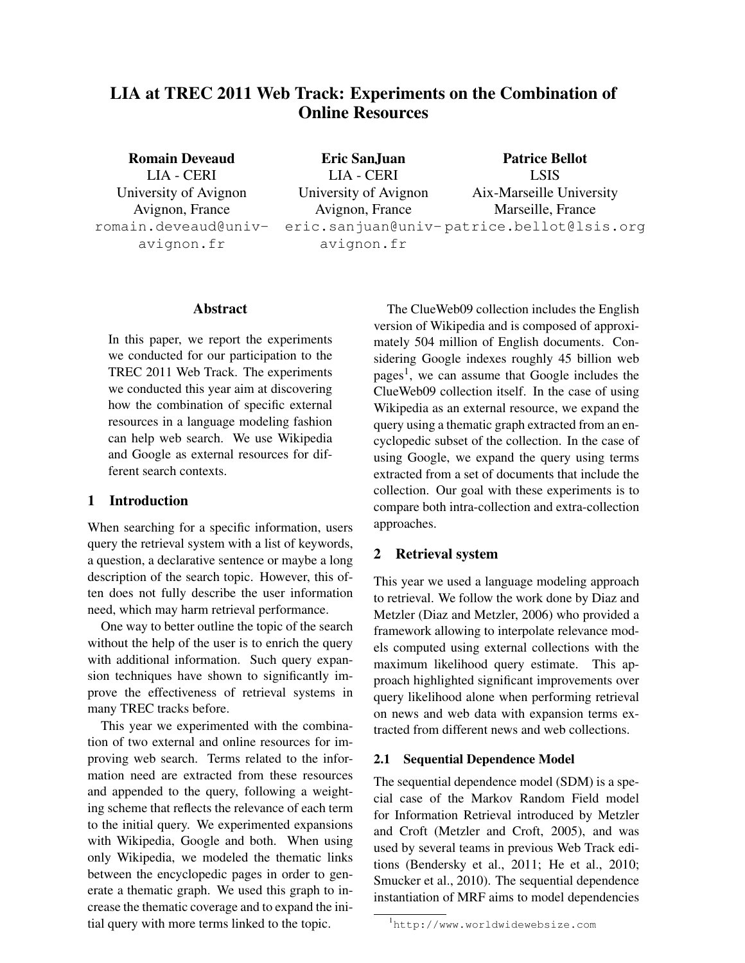# LIA at TREC 2011 Web Track: Experiments on the Combination of Online Resources

Romain Deveaud LIA - CERI University of Avignon Avignon, France romain.deveaud@univavignon.fr

Eric SanJuan LIA - CERI University of Avignon Avignon, France eric.sanjuan@univ-patrice.bellot@lsis.org avignon.fr Patrice Bellot LSIS Aix-Marseille University Marseille, France

### Abstract

In this paper, we report the experiments we conducted for our participation to the TREC 2011 Web Track. The experiments we conducted this year aim at discovering how the combination of specific external resources in a language modeling fashion can help web search. We use Wikipedia and Google as external resources for different search contexts.

# 1 Introduction

When searching for a specific information, users query the retrieval system with a list of keywords, a question, a declarative sentence or maybe a long description of the search topic. However, this often does not fully describe the user information need, which may harm retrieval performance.

One way to better outline the topic of the search without the help of the user is to enrich the query with additional information. Such query expansion techniques have shown to significantly improve the effectiveness of retrieval systems in many TREC tracks before.

This year we experimented with the combination of two external and online resources for improving web search. Terms related to the information need are extracted from these resources and appended to the query, following a weighting scheme that reflects the relevance of each term to the initial query. We experimented expansions with Wikipedia, Google and both. When using only Wikipedia, we modeled the thematic links between the encyclopedic pages in order to generate a thematic graph. We used this graph to increase the thematic coverage and to expand the initial query with more terms linked to the topic.

The ClueWeb09 collection includes the English version of Wikipedia and is composed of approximately 504 million of English documents. Considering Google indexes roughly 45 billion web pages<sup>1</sup>, we can assume that Google includes the ClueWeb09 collection itself. In the case of using Wikipedia as an external resource, we expand the query using a thematic graph extracted from an encyclopedic subset of the collection. In the case of using Google, we expand the query using terms extracted from a set of documents that include the collection. Our goal with these experiments is to compare both intra-collection and extra-collection approaches.

# 2 Retrieval system

This year we used a language modeling approach to retrieval. We follow the work done by Diaz and Metzler (Diaz and Metzler, 2006) who provided a framework allowing to interpolate relevance models computed using external collections with the maximum likelihood query estimate. This approach highlighted significant improvements over query likelihood alone when performing retrieval on news and web data with expansion terms extracted from different news and web collections.

# 2.1 Sequential Dependence Model

The sequential dependence model (SDM) is a special case of the Markov Random Field model for Information Retrieval introduced by Metzler and Croft (Metzler and Croft, 2005), and was used by several teams in previous Web Track editions (Bendersky et al., 2011; He et al., 2010; Smucker et al., 2010). The sequential dependence instantiation of MRF aims to model dependencies

<sup>1</sup>http://www.worldwidewebsize.com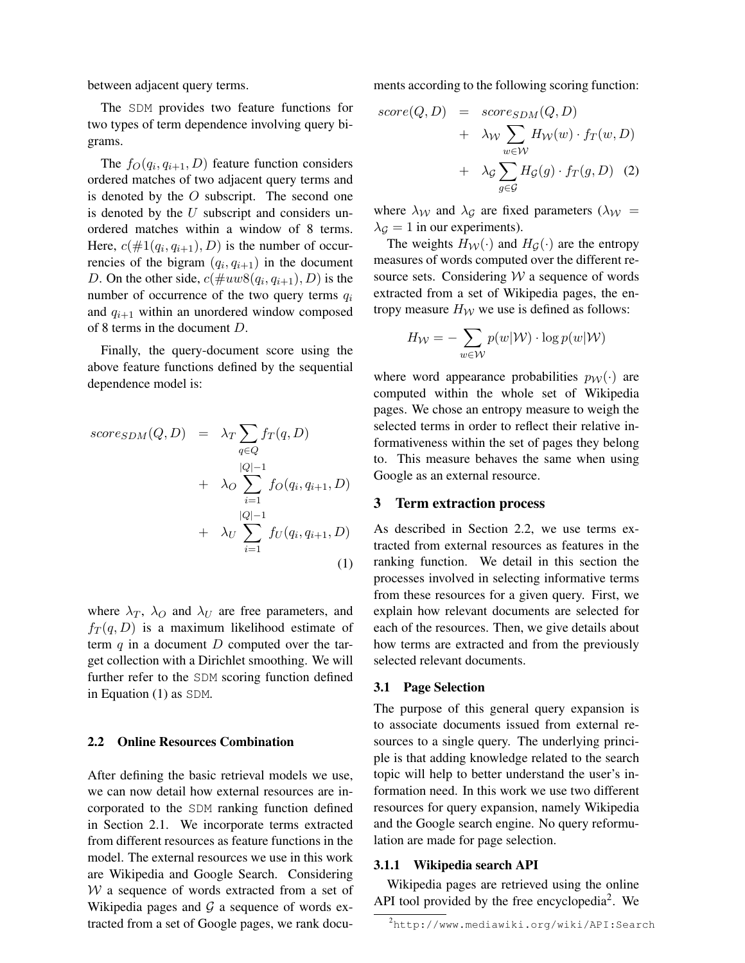between adjacent query terms.

The SDM provides two feature functions for two types of term dependence involving query bigrams.

The  $f_O(q_i, q_{i+1}, D)$  feature function considers ordered matches of two adjacent query terms and is denoted by the  $O$  subscript. The second one is denoted by the  $U$  subscript and considers unordered matches within a window of 8 terms. Here,  $c(\#1(q_i, q_{i+1}), D)$  is the number of occurrencies of the bigram  $(q_i, q_{i+1})$  in the document D. On the other side,  $c(\text{#uw8}(q_i, q_{i+1}), D)$  is the number of occurrence of the two query terms  $q_i$ and  $q_{i+1}$  within an unordered window composed of 8 terms in the document D.

Finally, the query-document score using the above feature functions defined by the sequential dependence model is:

$$
score_{SDM}(Q, D) = \lambda_T \sum_{q \in Q} f_T(q, D)
$$
  
+  $\lambda_O \sum_{i=1}^{|Q|-1} f_O(q_i, q_{i+1}, D)$   
+  $\lambda_U \sum_{i=1}^{|Q|-1} f_U(q_i, q_{i+1}, D)$   
(1)

where  $\lambda_T$ ,  $\lambda_O$  and  $\lambda_U$  are free parameters, and  $f_T(q, D)$  is a maximum likelihood estimate of term  $q$  in a document  $D$  computed over the target collection with a Dirichlet smoothing. We will further refer to the SDM scoring function defined in Equation (1) as SDM.

### 2.2 Online Resources Combination

After defining the basic retrieval models we use, we can now detail how external resources are incorporated to the SDM ranking function defined in Section 2.1. We incorporate terms extracted from different resources as feature functions in the model. The external resources we use in this work are Wikipedia and Google Search. Considering  $W$  a sequence of words extracted from a set of Wikipedia pages and  $G$  a sequence of words extracted from a set of Google pages, we rank documents according to the following scoring function:

$$
score(Q, D) = score_{SDM}(Q, D)
$$
  
+  $\lambda_W \sum_{w \in W} H_W(w) \cdot f_T(w, D)$   
+  $\lambda_G \sum_{g \in G} H_G(g) \cdot f_T(g, D)$  (2)

where  $\lambda_{\mathcal{W}}$  and  $\lambda_{\mathcal{G}}$  are fixed parameters ( $\lambda_{\mathcal{W}} =$  $\lambda_G = 1$  in our experiments).

The weights  $H_W(\cdot)$  and  $H_G(\cdot)$  are the entropy measures of words computed over the different resource sets. Considering  $W$  a sequence of words extracted from a set of Wikipedia pages, the entropy measure  $H_W$  we use is defined as follows:

$$
H_{\mathcal{W}} = -\sum_{w \in \mathcal{W}} p(w|\mathcal{W}) \cdot \log p(w|\mathcal{W})
$$

where word appearance probabilities  $p_W(\cdot)$  are computed within the whole set of Wikipedia pages. We chose an entropy measure to weigh the selected terms in order to reflect their relative informativeness within the set of pages they belong to. This measure behaves the same when using Google as an external resource.

### 3 Term extraction process

As described in Section 2.2, we use terms extracted from external resources as features in the ranking function. We detail in this section the processes involved in selecting informative terms from these resources for a given query. First, we explain how relevant documents are selected for each of the resources. Then, we give details about how terms are extracted and from the previously selected relevant documents.

#### 3.1 Page Selection

The purpose of this general query expansion is to associate documents issued from external resources to a single query. The underlying principle is that adding knowledge related to the search topic will help to better understand the user's information need. In this work we use two different resources for query expansion, namely Wikipedia and the Google search engine. No query reformulation are made for page selection.

### 3.1.1 Wikipedia search API

Wikipedia pages are retrieved using the online API tool provided by the free encyclopedia<sup>2</sup>. We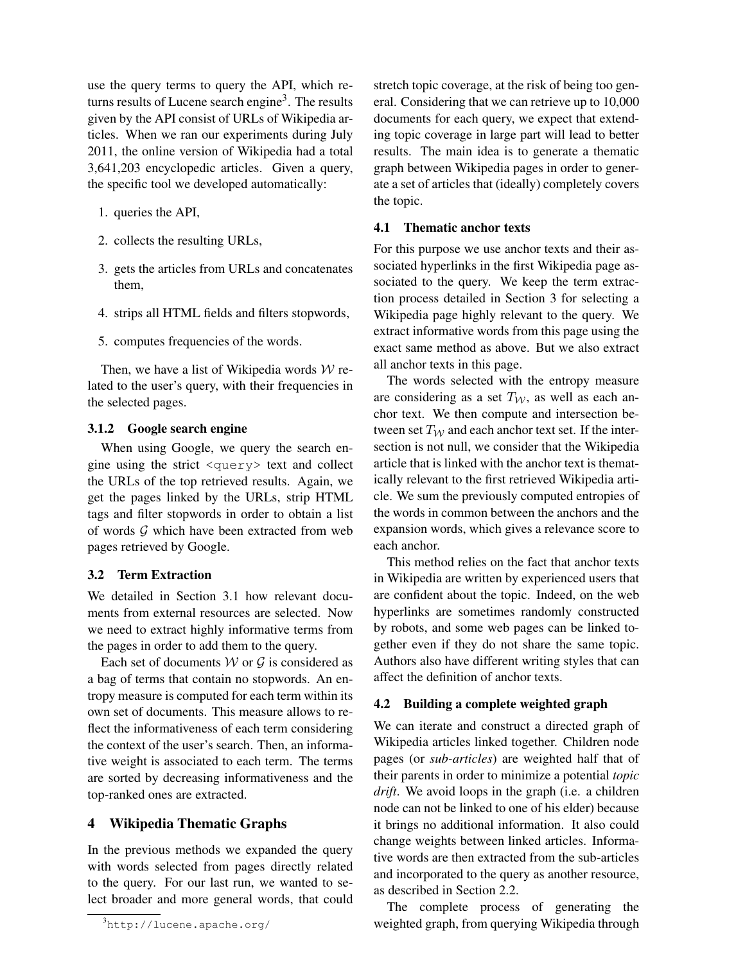use the query terms to query the API, which returns results of Lucene search engine<sup>3</sup>. The results given by the API consist of URLs of Wikipedia articles. When we ran our experiments during July 2011, the online version of Wikipedia had a total 3,641,203 encyclopedic articles. Given a query, the specific tool we developed automatically:

- 1. queries the API,
- 2. collects the resulting URLs,
- 3. gets the articles from URLs and concatenates them,
- 4. strips all HTML fields and filters stopwords,
- 5. computes frequencies of the words.

Then, we have a list of Wikipedia words  $W$  related to the user's query, with their frequencies in the selected pages.

### 3.1.2 Google search engine

When using Google, we query the search engine using the strict <query> text and collect the URLs of the top retrieved results. Again, we get the pages linked by the URLs, strip HTML tags and filter stopwords in order to obtain a list of words  $G$  which have been extracted from web pages retrieved by Google.

# 3.2 Term Extraction

We detailed in Section 3.1 how relevant documents from external resources are selected. Now we need to extract highly informative terms from the pages in order to add them to the query.

Each set of documents  $W$  or  $G$  is considered as a bag of terms that contain no stopwords. An entropy measure is computed for each term within its own set of documents. This measure allows to reflect the informativeness of each term considering the context of the user's search. Then, an informative weight is associated to each term. The terms are sorted by decreasing informativeness and the top-ranked ones are extracted.

# 4 Wikipedia Thematic Graphs

In the previous methods we expanded the query with words selected from pages directly related to the query. For our last run, we wanted to select broader and more general words, that could

<sup>3</sup>http://lucene.apache.org/

stretch topic coverage, at the risk of being too general. Considering that we can retrieve up to 10,000 documents for each query, we expect that extending topic coverage in large part will lead to better results. The main idea is to generate a thematic graph between Wikipedia pages in order to generate a set of articles that (ideally) completely covers the topic.

### 4.1 Thematic anchor texts

For this purpose we use anchor texts and their associated hyperlinks in the first Wikipedia page associated to the query. We keep the term extraction process detailed in Section 3 for selecting a Wikipedia page highly relevant to the query. We extract informative words from this page using the exact same method as above. But we also extract all anchor texts in this page.

The words selected with the entropy measure are considering as a set  $T_W$ , as well as each anchor text. We then compute and intersection between set  $T_W$  and each anchor text set. If the intersection is not null, we consider that the Wikipedia article that is linked with the anchor text is thematically relevant to the first retrieved Wikipedia article. We sum the previously computed entropies of the words in common between the anchors and the expansion words, which gives a relevance score to each anchor.

This method relies on the fact that anchor texts in Wikipedia are written by experienced users that are confident about the topic. Indeed, on the web hyperlinks are sometimes randomly constructed by robots, and some web pages can be linked together even if they do not share the same topic. Authors also have different writing styles that can affect the definition of anchor texts.

# 4.2 Building a complete weighted graph

We can iterate and construct a directed graph of Wikipedia articles linked together. Children node pages (or *sub-articles*) are weighted half that of their parents in order to minimize a potential *topic drift*. We avoid loops in the graph (i.e. a children node can not be linked to one of his elder) because it brings no additional information. It also could change weights between linked articles. Informative words are then extracted from the sub-articles and incorporated to the query as another resource, as described in Section 2.2.

The complete process of generating the weighted graph, from querying Wikipedia through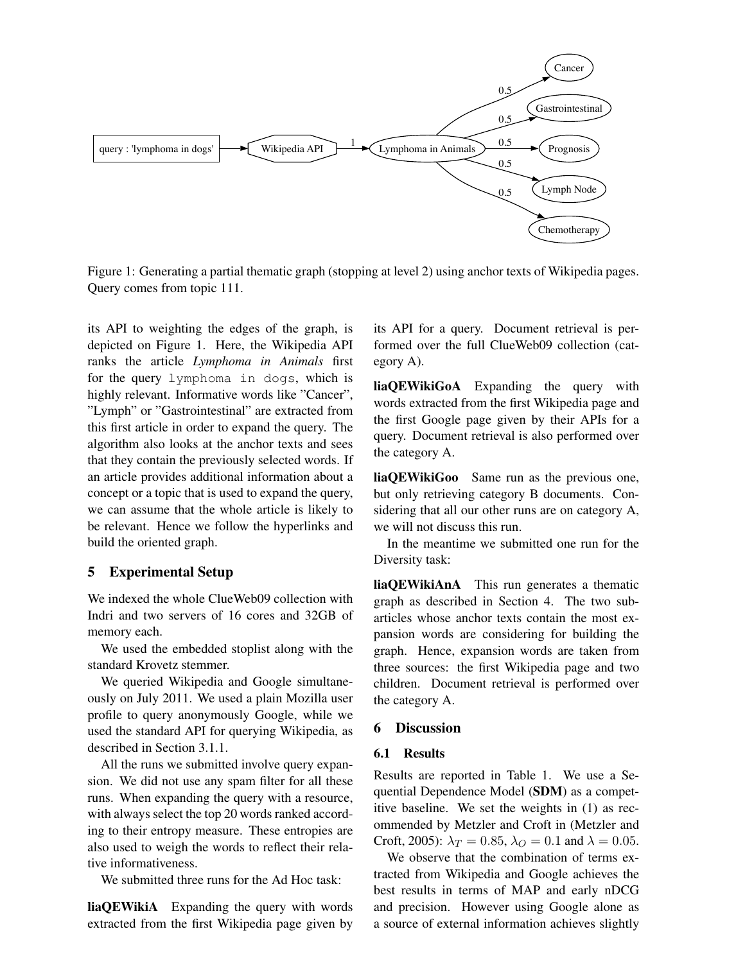

Figure 1: Generating a partial thematic graph (stopping at level 2) using anchor texts of Wikipedia pages. Query comes from topic 111.

its API to weighting the edges of the graph, is depicted on Figure 1. Here, the Wikipedia API ranks the article *Lymphoma in Animals* first for the query lymphoma in dogs, which is highly relevant. Informative words like "Cancer", "Lymph" or "Gastrointestinal" are extracted from this first article in order to expand the query. The algorithm also looks at the anchor texts and sees that they contain the previously selected words. If an article provides additional information about a concept or a topic that is used to expand the query, we can assume that the whole article is likely to be relevant. Hence we follow the hyperlinks and build the oriented graph.

### 5 Experimental Setup

We indexed the whole ClueWeb09 collection with Indri and two servers of 16 cores and 32GB of memory each.

We used the embedded stoplist along with the standard Krovetz stemmer.

We queried Wikipedia and Google simultaneously on July 2011. We used a plain Mozilla user profile to query anonymously Google, while we used the standard API for querying Wikipedia, as described in Section 3.1.1.

All the runs we submitted involve query expansion. We did not use any spam filter for all these runs. When expanding the query with a resource, with always select the top 20 words ranked according to their entropy measure. These entropies are also used to weigh the words to reflect their relative informativeness.

We submitted three runs for the Ad Hoc task:

liaQEWikiA Expanding the query with words extracted from the first Wikipedia page given by its API for a query. Document retrieval is performed over the full ClueWeb09 collection (category A).

liaQEWikiGoA Expanding the query with words extracted from the first Wikipedia page and the first Google page given by their APIs for a query. Document retrieval is also performed over the category A.

liaQEWikiGoo Same run as the previous one, but only retrieving category B documents. Considering that all our other runs are on category A, we will not discuss this run.

In the meantime we submitted one run for the Diversity task:

liaQEWikiAnA This run generates a thematic graph as described in Section 4. The two subarticles whose anchor texts contain the most expansion words are considering for building the graph. Hence, expansion words are taken from three sources: the first Wikipedia page and two children. Document retrieval is performed over the category A.

### 6 Discussion

#### 6.1 Results

Results are reported in Table 1. We use a Sequential Dependence Model (SDM) as a competitive baseline. We set the weights in (1) as recommended by Metzler and Croft in (Metzler and Croft, 2005):  $\lambda_T = 0.85$ ,  $\lambda_O = 0.1$  and  $\lambda = 0.05$ .

We observe that the combination of terms extracted from Wikipedia and Google achieves the best results in terms of MAP and early nDCG and precision. However using Google alone as a source of external information achieves slightly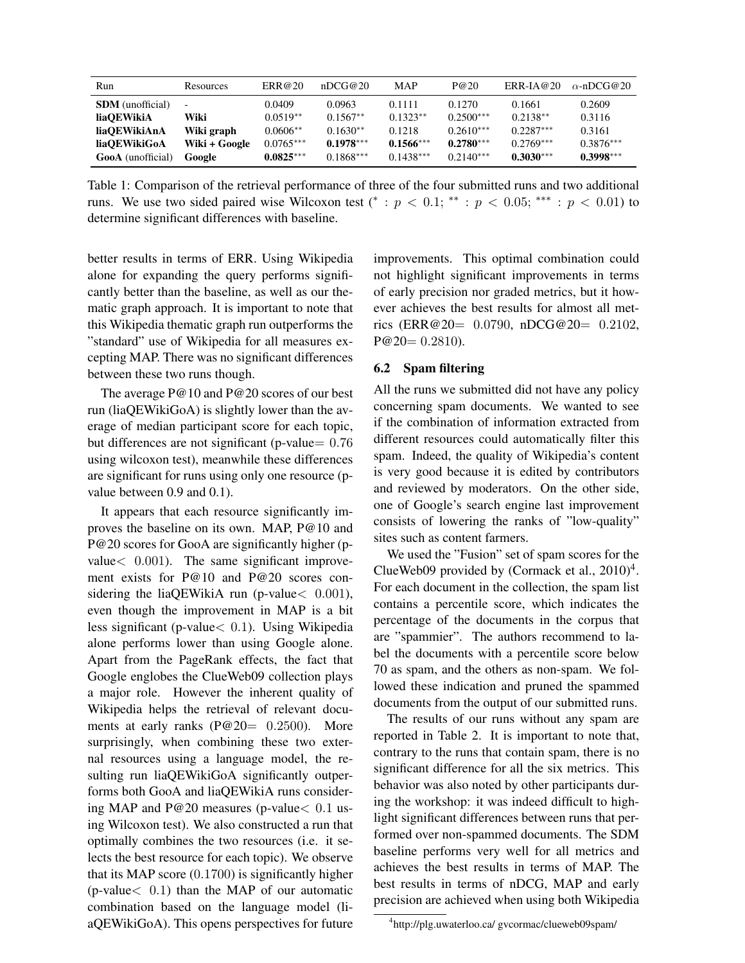| Run                      | Resources                | ERR@20      | nDCG@20     | <b>MAP</b>  | P@20        | $ERR-IA@20$ | $\alpha$ -nDCG@20 |
|--------------------------|--------------------------|-------------|-------------|-------------|-------------|-------------|-------------------|
| <b>SDM</b> (unofficial)  | $\overline{\phantom{a}}$ | 0.0409      | 0.0963      | 0.1111      | 0.1270      | 0.1661      | 0.2609            |
| liaOEWikiA               | Wiki                     | $0.0519**$  | $0.1567**$  | $0.1323**$  | $0.2500***$ | $0.2138**$  | 0.3116            |
| liaOEWikiAnA             | Wiki graph               | $0.0606**$  | $0.1630**$  | 0.1218      | $0.2610***$ | $0.2287***$ | 0.3161            |
| liaOEWikiGoA             | Wiki + Google            | $0.0765***$ | $0.1978***$ | $0.1566***$ | $0.2780***$ | $0.2769***$ | $0.3876***$       |
| <b>GooA</b> (unofficial) | Google                   | $0.0825***$ | $0.1868***$ | $0.1438***$ | $0.2140***$ | $0.3030***$ | $0.3998***$       |

Table 1: Comparison of the retrieval performance of three of the four submitted runs and two additional runs. We use two sided paired wise Wilcoxon test (\* :  $p < 0.1$ ; \*\* :  $p < 0.05$ ; \*\*\* :  $p < 0.01$ ) to determine significant differences with baseline.

better results in terms of ERR. Using Wikipedia alone for expanding the query performs significantly better than the baseline, as well as our thematic graph approach. It is important to note that this Wikipedia thematic graph run outperforms the "standard" use of Wikipedia for all measures excepting MAP. There was no significant differences between these two runs though.

The average P@10 and P@20 scores of our best run (liaQEWikiGoA) is slightly lower than the average of median participant score for each topic, but differences are not significant (p-value $= 0.76$ ) using wilcoxon test), meanwhile these differences are significant for runs using only one resource (pvalue between 0.9 and 0.1).

It appears that each resource significantly improves the baseline on its own. MAP, P@10 and P@20 scores for GooA are significantly higher (pvalue< 0.001). The same significant improvement exists for P@10 and P@20 scores considering the liaQEWikiA run (p-value < 0.001), even though the improvement in MAP is a bit less significant (p-value< 0.1). Using Wikipedia alone performs lower than using Google alone. Apart from the PageRank effects, the fact that Google englobes the ClueWeb09 collection plays a major role. However the inherent quality of Wikipedia helps the retrieval of relevant documents at early ranks (P@20= 0.2500). More surprisingly, when combining these two external resources using a language model, the resulting run liaQEWikiGoA significantly outperforms both GooA and liaQEWikiA runs considering MAP and P@20 measures (p-value< 0.1 using Wilcoxon test). We also constructed a run that optimally combines the two resources (i.e. it selects the best resource for each topic). We observe that its MAP score (0.1700) is significantly higher (p-value $< 0.1$ ) than the MAP of our automatic combination based on the language model (liaQEWikiGoA). This opens perspectives for future

improvements. This optimal combination could not highlight significant improvements in terms of early precision nor graded metrics, but it however achieves the best results for almost all metrics (ERR@20= 0.0790, nDCG@20= 0.2102,  $P@20= 0.2810$ .

### 6.2 Spam filtering

All the runs we submitted did not have any policy concerning spam documents. We wanted to see if the combination of information extracted from different resources could automatically filter this spam. Indeed, the quality of Wikipedia's content is very good because it is edited by contributors and reviewed by moderators. On the other side, one of Google's search engine last improvement consists of lowering the ranks of "low-quality" sites such as content farmers.

We used the "Fusion" set of spam scores for the ClueWeb09 provided by (Cormack et al.,  $2010)^4$ . For each document in the collection, the spam list contains a percentile score, which indicates the percentage of the documents in the corpus that are "spammier". The authors recommend to label the documents with a percentile score below 70 as spam, and the others as non-spam. We followed these indication and pruned the spammed documents from the output of our submitted runs.

The results of our runs without any spam are reported in Table 2. It is important to note that, contrary to the runs that contain spam, there is no significant difference for all the six metrics. This behavior was also noted by other participants during the workshop: it was indeed difficult to highlight significant differences between runs that performed over non-spammed documents. The SDM baseline performs very well for all metrics and achieves the best results in terms of MAP. The best results in terms of nDCG, MAP and early precision are achieved when using both Wikipedia

<sup>4</sup> http://plg.uwaterloo.ca/ gvcormac/clueweb09spam/